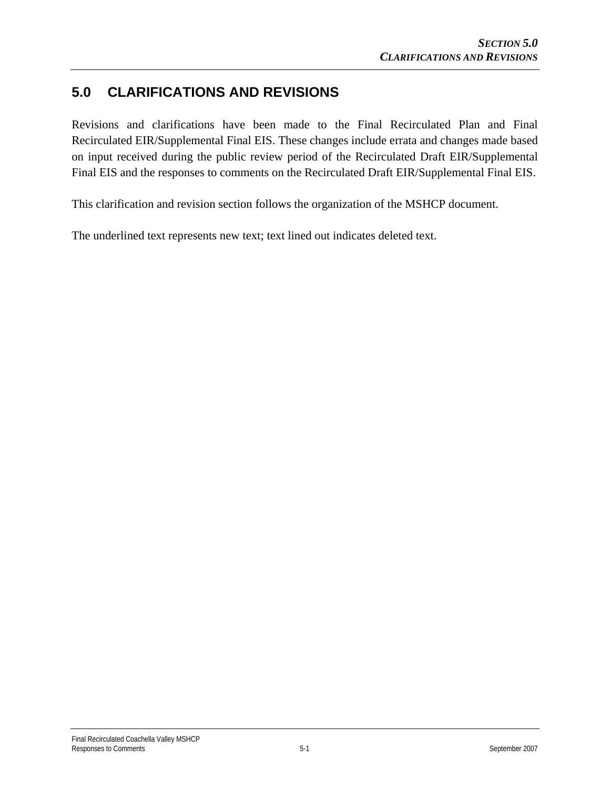# **5.0 CLARIFICATIONS AND REVISIONS**

Revisions and clarifications have been made to the Final Recirculated Plan and Final Recirculated EIR/Supplemental Final EIS. These changes include errata and changes made based on input received during the public review period of the Recirculated Draft EIR/Supplemental Final EIS and the responses to comments on the Recirculated Draft EIR/Supplemental Final EIS.

This clarification and revision section follows the organization of the MSHCP document.

The underlined text represents new text; text lined out indicates deleted text.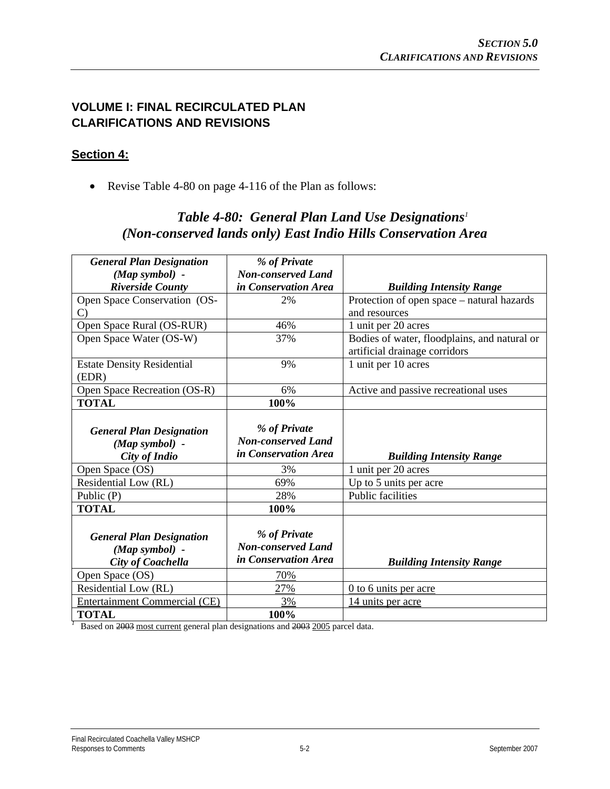#### **VOLUME I: FINAL RECIRCULATED PLAN CLARIFICATIONS AND REVISIONS**

#### **Section 4:**

• Revise Table 4-80 on page 4-116 of the Plan as follows:

# *Table 4-80: General Plan Land Use Designations<sup>1</sup> (Non-conserved lands only) East Indio Hills Conservation Area*

| <b>General Plan Designation</b>      | % of Private              |                                              |
|--------------------------------------|---------------------------|----------------------------------------------|
| $(Map symbol)$ -                     | <b>Non-conserved Land</b> |                                              |
| <b>Riverside County</b>              | in Conservation Area      | <b>Building Intensity Range</b>              |
| Open Space Conservation (OS-         | 2%                        | Protection of open space - natural hazards   |
| C)                                   |                           | and resources                                |
| Open Space Rural (OS-RUR)            | 46%                       | 1 unit per 20 acres                          |
| Open Space Water (OS-W)              | 37%                       | Bodies of water, floodplains, and natural or |
|                                      |                           | artificial drainage corridors                |
| <b>Estate Density Residential</b>    | 9%                        | 1 unit per 10 acres                          |
| (EDR)                                |                           |                                              |
| Open Space Recreation (OS-R)         | 6%                        | Active and passive recreational uses         |
| <b>TOTAL</b>                         | 100%                      |                                              |
|                                      |                           |                                              |
| <b>General Plan Designation</b>      | % of Private              |                                              |
| $(Map symbol)$ -                     | <b>Non-conserved Land</b> |                                              |
| City of Indio                        | in Conservation Area      | <b>Building Intensity Range</b>              |
| Open Space (OS)                      | 3%                        | 1 unit per 20 acres                          |
| Residential Low (RL)                 | 69%                       | Up to 5 units per acre                       |
| Public (P)                           | 28%                       | <b>Public facilities</b>                     |
| <b>TOTAL</b>                         | 100%                      |                                              |
|                                      |                           |                                              |
| <b>General Plan Designation</b>      | % of Private              |                                              |
| $(Map symbol)$ -                     | <b>Non-conserved Land</b> |                                              |
|                                      |                           |                                              |
| City of Coachella                    | in Conservation Area      |                                              |
| Open Space (OS)                      | 70%                       | <b>Building Intensity Range</b>              |
| Residential Low (RL)                 | 27%                       | $0$ to 6 units per acre                      |
| <b>Entertainment Commercial (CE)</b> | 3%                        | 14 units per acre                            |

<sup>1</sup> Based on 2003 most current general plan designations and 2003 2005 parcel data.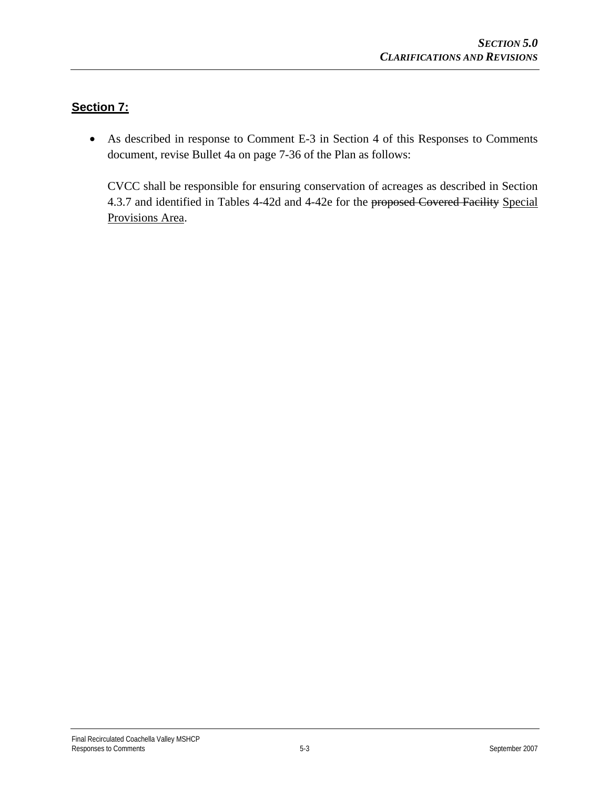## **Section 7:**

• As described in response to Comment E-3 in Section 4 of this Responses to Comments document, revise Bullet 4a on page 7-36 of the Plan as follows:

CVCC shall be responsible for ensuring conservation of acreages as described in Section 4.3.7 and identified in Tables 4-42d and 4-42e for the proposed Covered Facility Special Provisions Area.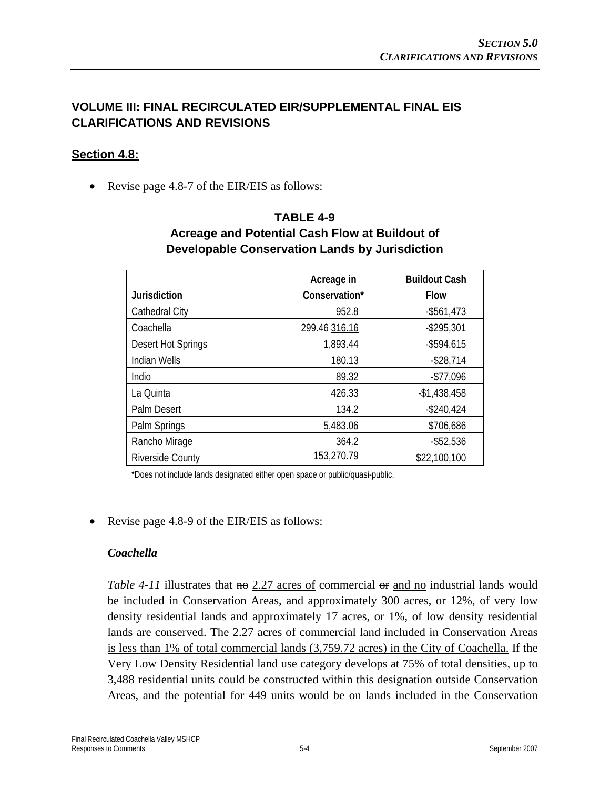#### **VOLUME III: FINAL RECIRCULATED EIR/SUPPLEMENTAL FINAL EIS CLARIFICATIONS AND REVISIONS**

#### **Section 4.8:**

• Revise page 4.8-7 of the EIR/EIS as follows:

#### **Developable Conservation Lands by Jurisdiction Jurisdiction Acreage in Conservation\* Buildout Cash Flow** Cathedral City **952.8** - \$561,473 Coachella 299.46 316.16 | 299.44 2005,301 Desert Hot Springs 1,893.44 | 3594,615 **Indian Wells** 180.13 180.13 - \$28,714

Indio 89.32 -\$77,096 La Quinta 426.33 -\$1,438,458 Palm Desert 134.2 - 134.2 - 134.2 - 134.2 - 134.2 - 134.2 - 134.2 - 134.2 - 134.2 - 134.2 - 134.2 - 134.2 - 134.2 - 134.2 - 134.2 - 134.2 - 134.2 - 134.2 - 134.2 - 134.2 - 135.2 - 135.2 - 135.2 - 135.2 - 135.2 - 135.2 - 13 Palm Springs 5,483.06 \$706,686 Rancho Mirage 2008 2008 2012 2020 364.2 Riverside County **153,270.79** \$22,100,100

# **TABLE 4-9 Acreage and Potential Cash Flow at Buildout of**

\*Does not include lands designated either open space or public/quasi-public.

• Revise page 4.8-9 of the EIR/EIS as follows:

#### *Coachella*

*Table 4-11* illustrates that  $\theta$  2.27 acres of commercial  $\theta$  and no industrial lands would be included in Conservation Areas, and approximately 300 acres, or 12%, of very low density residential lands and approximately 17 acres, or 1%, of low density residential lands are conserved. The 2.27 acres of commercial land included in Conservation Areas is less than 1% of total commercial lands (3,759.72 acres) in the City of Coachella. If the Very Low Density Residential land use category develops at 75% of total densities, up to 3,488 residential units could be constructed within this designation outside Conservation Areas, and the potential for 449 units would be on lands included in the Conservation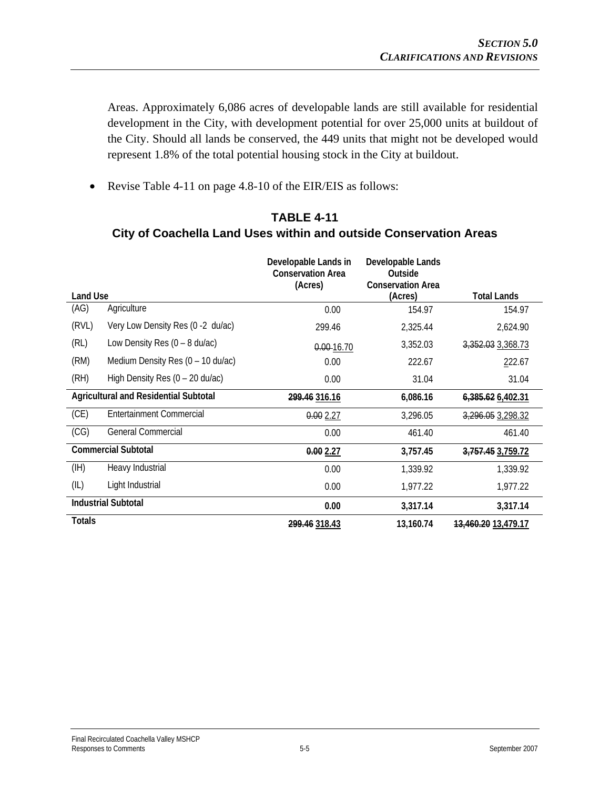Areas. Approximately 6,086 acres of developable lands are still available for residential development in the City, with development potential for over 25,000 units at buildout of the City. Should all lands be conserved, the 449 units that might not be developed would represent 1.8% of the total potential housing stock in the City at buildout.

• Revise Table 4-11 on page 4.8-10 of the EIR/EIS as follows:

### **TABLE 4-11 City of Coachella Land Uses within and outside Conservation Areas**

|               |                                              | Developable Lands in<br><b>Conservation Area</b><br>(Acres) | Developable Lands<br>Outside<br><b>Conservation Area</b> |                     |
|---------------|----------------------------------------------|-------------------------------------------------------------|----------------------------------------------------------|---------------------|
| Land Use      |                                              |                                                             | (Acres)                                                  | <b>Total Lands</b>  |
| (AG)          | Agriculture                                  | 0.00                                                        | 154.97                                                   | 154.97              |
| (RVL)         | Very Low Density Res (0 -2 du/ac)            | 299.46                                                      | 2,325.44                                                 | 2,624.90            |
| (RL)          | Low Density Res $(0 - 8 \text{ du/ac})$      | 0.00-16.70                                                  | 3,352.03                                                 | 3,352.03 3,368.73   |
| (RM)          | Medium Density Res $(0 - 10 \text{ du/ac})$  | 0.00                                                        | 222.67                                                   | 222.67              |
| (RH)          | High Density Res $(0 - 20 \text{ du}/ac)$    | 0.00                                                        | 31.04                                                    | 31.04               |
|               | <b>Agricultural and Residential Subtotal</b> | 299.46 316.16                                               | 6,086.16                                                 | 6,385.62 6,402.31   |
| (CE)          | <b>Entertainment Commercial</b>              | 0.002.27                                                    | 3,296.05                                                 | 3,296.05 3,298.32   |
| (CG)          | <b>General Commercial</b>                    | 0.00                                                        | 461.40                                                   | 461.40              |
|               | <b>Commercial Subtotal</b>                   | 0.002.27                                                    | 3,757.45                                                 | 3,757.45 3,759.72   |
| (HH)          | Heavy Industrial                             | 0.00                                                        | 1,339.92                                                 | 1,339.92            |
| (IL)          | Light Industrial                             | 0.00                                                        | 1,977.22                                                 | 1,977.22            |
|               | <b>Industrial Subtotal</b>                   | 0.00                                                        | 3,317.14                                                 | 3,317.14            |
| <b>Totals</b> |                                              | 299.46 318.43                                               | 13,160.74                                                | 13,460.20 13,479.17 |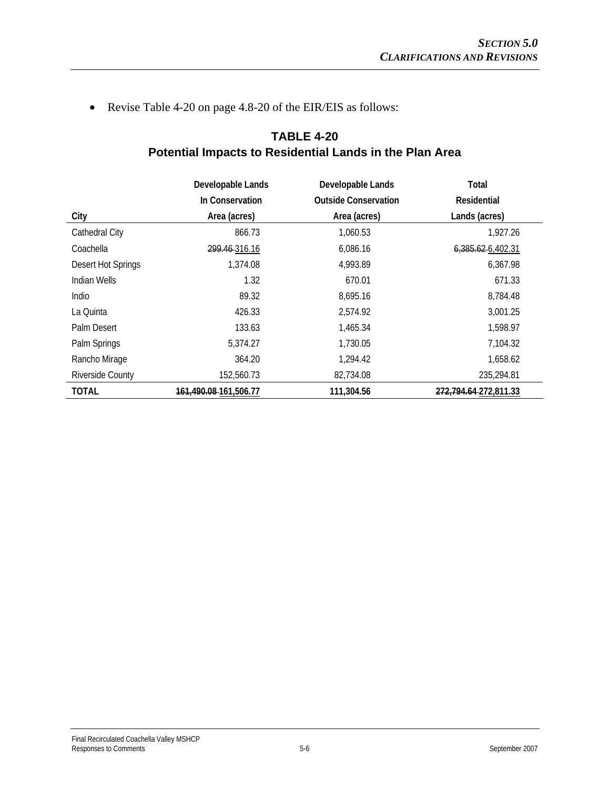• Revise Table 4-20 on page 4.8-20 of the EIR/EIS as follows:

|                         | Developable Lands                 | Developable Lands           | Total                 |
|-------------------------|-----------------------------------|-----------------------------|-----------------------|
|                         | In Conservation                   | <b>Outside Conservation</b> | Residential           |
| City                    | Area (acres)                      | Area (acres)                | Lands (acres)         |
| Cathedral City          | 866.73                            | 1,060.53                    | 1,927.26              |
| Coachella               | 299.46-316.16                     | 6,086.16                    | 6,385.62-6,402.31     |
| Desert Hot Springs      | 1,374.08                          | 4,993.89                    | 6,367.98              |
| Indian Wells            | 1.32                              | 670.01                      | 671.33                |
| Indio                   | 89.32                             | 8,695.16                    | 8,784.48              |
| La Quinta               | 426.33                            | 2,574.92                    | 3,001.25              |
| Palm Desert             | 133.63                            | 1,465.34                    | 1,598.97              |
| Palm Springs            | 5,374.27                          | 1,730.05                    | 7,104.32              |
| Rancho Mirage           | 364.20                            | 1,294.42                    | 1,658.62              |
| <b>Riverside County</b> | 152,560.73                        | 82,734.08                   | 235,294.81            |
| TOTAL                   | <del>161.490.08 1</del> 61.506.77 | 111,304.56                  | 272.794.64-272.811.33 |

## **TABLE 4-20 Potential Impacts to Residential Lands in the Plan Area**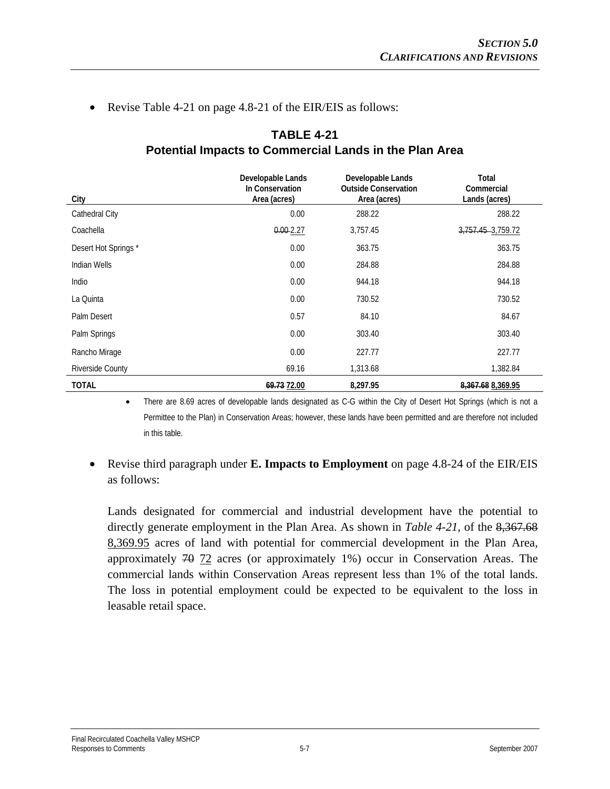• Revise Table 4-21 on page 4.8-21 of the EIR/EIS as follows:

| City                    | Developable Lands<br>In Conservation<br>Area (acres) | Developable Lands<br><b>Outside Conservation</b><br>Area (acres) | Total<br>Commercial<br>Lands (acres) |
|-------------------------|------------------------------------------------------|------------------------------------------------------------------|--------------------------------------|
| Cathedral City          | 0.00                                                 | 288.22                                                           | 288.22                               |
| Coachella               | $0.00 - 2.27$                                        | 3,757.45                                                         | 3,757.45 - 3,759.72                  |
| Desert Hot Springs*     | 0.00                                                 | 363.75                                                           | 363.75                               |
| Indian Wells            | 0.00                                                 | 284.88                                                           | 284.88                               |
| Indio                   | 0.00                                                 | 944.18                                                           | 944.18                               |
| La Quinta               | 0.00                                                 | 730.52                                                           | 730.52                               |
| Palm Desert             | 0.57                                                 | 84.10                                                            | 84.67                                |
| Palm Springs            | 0.00                                                 | 303.40                                                           | 303.40                               |
| Rancho Mirage           | 0.00                                                 | 227.77                                                           | 227.77                               |
| <b>Riverside County</b> | 69.16                                                | 1,313.68                                                         | 1,382.84                             |
| <b>TOTAL</b>            | 69.73 72.00                                          | 8,297.95                                                         | 8,367.68 8,369.95                    |

#### **TABLE 4-21 Potential Impacts to Commercial Lands in the Plan Area**

• There are 8.69 acres of developable lands designated as C-G within the City of Desert Hot Springs (which is not a Permittee to the Plan) in Conservation Areas; however, these lands have been permitted and are therefore not included in this table.

#### • Revise third paragraph under **E. Impacts to Employment** on page 4.8-24 of the EIR/EIS as follows:

Lands designated for commercial and industrial development have the potential to directly generate employment in the Plan Area. As shown in *Table 4-21*, of the 8,367.68 8,369.95 acres of land with potential for commercial development in the Plan Area, approximately  $70 \frac{72}{2}$  acres (or approximately 1%) occur in Conservation Areas. The commercial lands within Conservation Areas represent less than 1% of the total lands. The loss in potential employment could be expected to be equivalent to the loss in leasable retail space.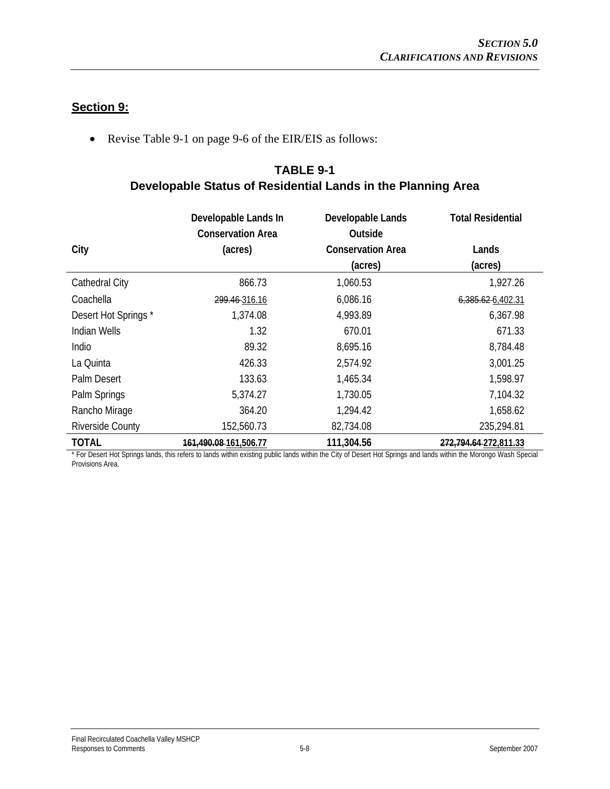#### **Section 9:**

• Revise Table 9-1 on page 9-6 of the EIR/EIS as follows:

# **TABLE 9-1 Developable Status of Residential Lands in the Planning Area**

|                         | Developable Lands In<br><b>Conservation Area</b> | Developable Lands<br>Outside | <b>Total Residential</b> |
|-------------------------|--------------------------------------------------|------------------------------|--------------------------|
| City                    | (acres)                                          | <b>Conservation Area</b>     | Lands                    |
|                         |                                                  | (acres)                      | (acres)                  |
| Cathedral City          | 866.73                                           | 1,060.53                     | 1,927.26                 |
| Coachella               | 299.46-316.16                                    | 6,086.16                     | 6,385.62-6,402.31        |
| Desert Hot Springs*     | 1,374.08                                         | 4,993.89                     | 6,367.98                 |
| Indian Wells            | 1.32                                             | 670.01                       | 671.33                   |
| Indio                   | 89.32                                            | 8,695.16                     | 8,784.48                 |
| La Quinta               | 426.33                                           | 2,574.92                     | 3,001.25                 |
| Palm Desert             | 133.63                                           | 1,465.34                     | 1,598.97                 |
| Palm Springs            | 5,374.27                                         | 1,730.05                     | 7,104.32                 |
| Rancho Mirage           | 364.20                                           | 1,294.42                     | 1,658.62                 |
| <b>Riverside County</b> | 152,560.73                                       | 82,734.08                    | 235,294.81               |
| TOTAL                   | 161,490.08-161,506.77                            | 111,304.56                   | 272,794.64-272,811.33    |

\* For Desert Hot Springs lands, this refers to lands within existing public lands within the City of Desert Hot Springs and lands within the Morongo Wash Special Provisions Area.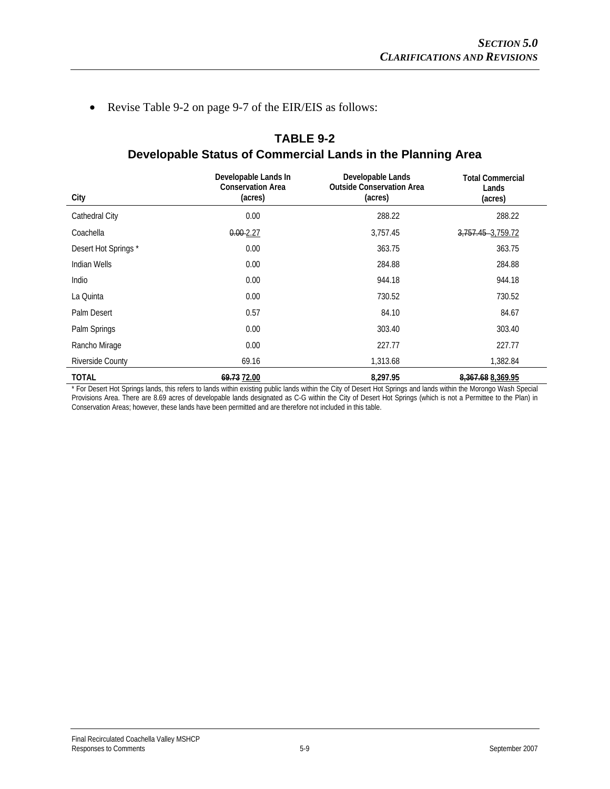• Revise Table 9-2 on page 9-7 of the EIR/EIS as follows:

| City                    | Developable Lands In<br><b>Conservation Area</b><br>(acres) | Developable Lands<br><b>Outside Conservation Area</b><br>(acres) | <b>Total Commercial</b><br>Lands<br>(acres) |
|-------------------------|-------------------------------------------------------------|------------------------------------------------------------------|---------------------------------------------|
| Cathedral City          | 0.00                                                        | 288.22                                                           | 288.22                                      |
| Coachella               | $0.00 - 2.27$                                               | 3,757.45                                                         | 3,757.45 3,759.72                           |
| Desert Hot Springs*     | 0.00                                                        | 363.75                                                           | 363.75                                      |
| Indian Wells            | 0.00                                                        | 284.88                                                           | 284.88                                      |
| Indio                   | 0.00                                                        | 944.18                                                           | 944.18                                      |
| La Quinta               | 0.00                                                        | 730.52                                                           | 730.52                                      |
| Palm Desert             | 0.57                                                        | 84.10                                                            | 84.67                                       |
| Palm Springs            | 0.00                                                        | 303.40                                                           | 303.40                                      |
| Rancho Mirage           | 0.00                                                        | 227.77                                                           | 227.77                                      |
| <b>Riverside County</b> | 69.16                                                       | 1,313.68                                                         | 1,382.84                                    |
| <b>TOTAL</b>            | 69.73 72.00                                                 | 8,297.95                                                         | 8,367.68 8,369.95                           |

# **TABLE 9-2 Developable Status of Commercial Lands in the Planning Area**

\* For Desert Hot Springs lands, this refers to lands within existing public lands within the City of Desert Hot Springs and lands within the Morongo Wash Special Provisions Area. There are 8.69 acres of developable lands designated as C-G within the City of Desert Hot Springs (which is not a Permittee to the Plan) in Conservation Areas; however, these lands have been permitted and are therefore not included in this table.